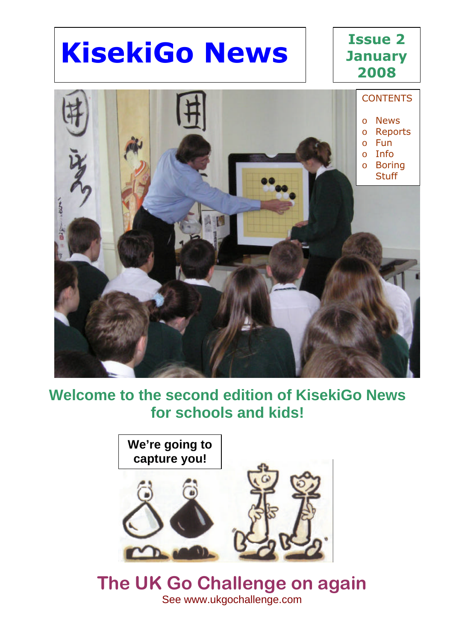# **KisekiGo News**

#### **Issue 2 January 2008**



#### **Welcome to the second edition of KisekiGo News for schools and kids!**



#### **The UK Go Challenge on again** See www.ukgochallenge.com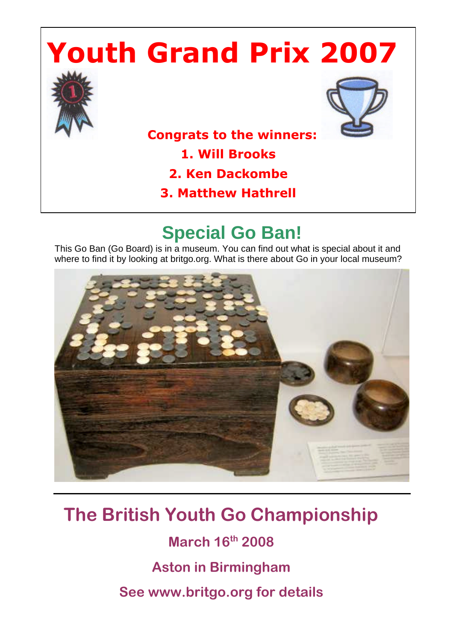# **Youth Grand Prix 2007**





 **Congrats to the winners:** 

**1. Will Brooks**

- **2. Ken Dackombe**
- **3. Matthew Hathrell**

### **Special Go Ban!**

This Go Ban (Go Board) is in a museum. You can find out what is special about it and where to find it by looking at britgo.org. What is there about Go in your local museum?



### **The British Youth Go Championship**

**March 16th 2008 Aston in Birmingham See www.britgo.org for details**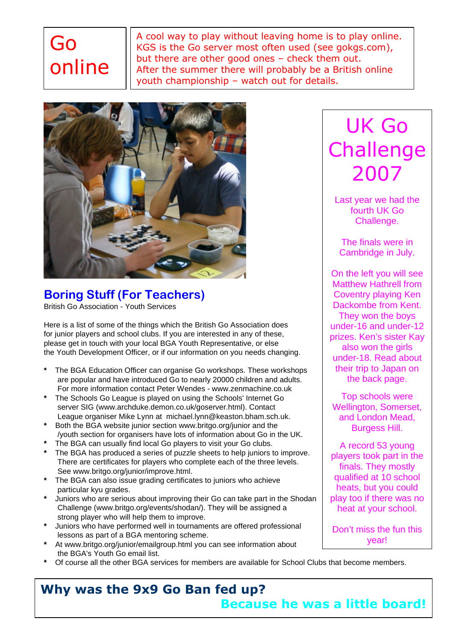## Go online

A cool way to play without leaving home is to play online. KGS is the Go server most often used (see gokgs.com), but there are other good ones – check them out. After the summer there will probably be a British online youth championship – watch out for details.



**Boring Stuff (For Teachers)** British Go Association - Youth Services

Here is a list of some of the things which the British Go Association does for junior players and school clubs. If you are interested in any of these, please get in touch with your local BGA Youth Representative, or else the Youth Development Officer, or if our information on you needs changing.

- **\*** The BGA Education Officer can organise Go workshops. These workshops are popular and have introduced Go to nearly 20000 children and adults. For more information contact Peter Wendes - www.zenmachine.co.uk
- **\*** The Schools Go League is played on using the Schools' Internet Go server SIG (www.archduke.demon.co.uk/goserver.html). Contact League organiser Mike Lynn at michael.lynn@keaston.bham.sch.uk.
- **\*** Both the BGA website junior section www.britgo.org/junior and the /youth section for organisers have lots of information about Go in the UK.
- **\*** The BGA can usually find local Go players to visit your Go clubs.
- **\*** The BGA has produced a series of puzzle sheets to help juniors to improve. There are certificates for players who complete each of the three levels. See www.britgo.org/junior/improve.html.
- **\*** The BGA can also issue grading certificates to juniors who achieve particular kyu grades.
- **\*** Juniors who are serious about improving their Go can take part in the Shodan Challenge (www.britgo.org/events/shodan/). They will be assigned a strong player who will help them to improve.
- **\*** Juniors who have performed well in tournaments are offered professional lessons as part of a BGA mentoring scheme.
- **\*** At www.britgo.org/junior/emailgroup.html you can see information about the BGA's Youth Go email list.
- **\*** Of course all the other BGA services for members are available for School Clubs that become members.

## UK Go **Challenge** 2007

Last year we had the fourth UK Go Challenge.

The finals were in Cambridge in July.

On the left you will see Matthew Hathrell from Coventry playing Ken Dackombe from Kent. They won the boys under-16 and under-12 prizes. Ken's sister Kay also won the girls under-18. Read about their trip to Japan on the back page.

Top schools were Wellington, Somerset, and London Mead, Burgess Hill.

A record 53 young players took part in the finals. They mostly qualified at 10 school heats, but you could play too if there was no heat at your school.

Don't miss the fun this year!

#### **Why was the 9x9 Go Ban fed up? Because he was a little board!**